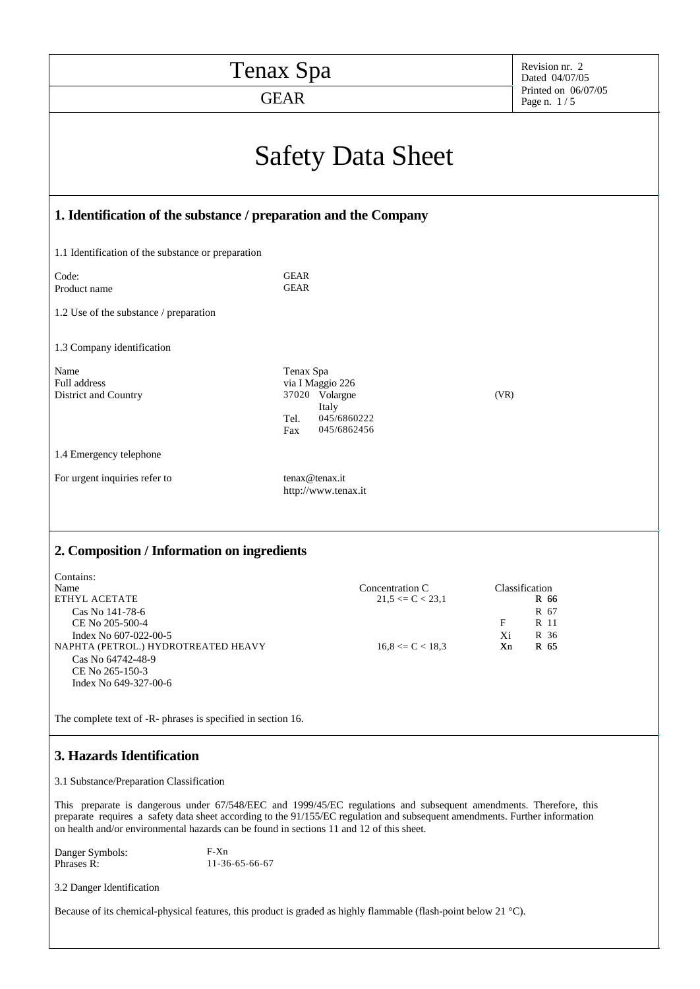| Tenax Spa                                                                                                                                                                                                                                                                                                                                     | Revision nr. 2<br>Dated 04/07/05                                                                      |                                                                         |  |  |  |  |
|-----------------------------------------------------------------------------------------------------------------------------------------------------------------------------------------------------------------------------------------------------------------------------------------------------------------------------------------------|-------------------------------------------------------------------------------------------------------|-------------------------------------------------------------------------|--|--|--|--|
| <b>GEAR</b>                                                                                                                                                                                                                                                                                                                                   | Printed on 06/07/05<br>Page n. $1/5$                                                                  |                                                                         |  |  |  |  |
| <b>Safety Data Sheet</b>                                                                                                                                                                                                                                                                                                                      |                                                                                                       |                                                                         |  |  |  |  |
| 1. Identification of the substance / preparation and the Company                                                                                                                                                                                                                                                                              |                                                                                                       |                                                                         |  |  |  |  |
| 1.1 Identification of the substance or preparation                                                                                                                                                                                                                                                                                            |                                                                                                       |                                                                         |  |  |  |  |
| Code:<br>Product name                                                                                                                                                                                                                                                                                                                         | <b>GEAR</b><br><b>GEAR</b>                                                                            |                                                                         |  |  |  |  |
| 1.2 Use of the substance / preparation                                                                                                                                                                                                                                                                                                        |                                                                                                       |                                                                         |  |  |  |  |
| 1.3 Company identification                                                                                                                                                                                                                                                                                                                    |                                                                                                       |                                                                         |  |  |  |  |
| Name<br>Full address<br>District and Country                                                                                                                                                                                                                                                                                                  | Tenax Spa<br>via I Maggio 226<br>37020 Volargne<br>Italy<br>045/6860222<br>Tel.<br>045/6862456<br>Fax | (VR)                                                                    |  |  |  |  |
| 1.4 Emergency telephone                                                                                                                                                                                                                                                                                                                       |                                                                                                       |                                                                         |  |  |  |  |
| For urgent inquiries refer to                                                                                                                                                                                                                                                                                                                 | tenax@tenax.it<br>http://www.tenax.it                                                                 |                                                                         |  |  |  |  |
| 2. Composition / Information on ingredients                                                                                                                                                                                                                                                                                                   |                                                                                                       |                                                                         |  |  |  |  |
| Contains:<br>Name<br>ETHYL ACETATE<br>Cas No 141-78-6<br>CE No 205-500-4<br>Index No 607-022-00-5<br>NAPHTA (PETROL.) HYDROTREATED HEAVY<br>Cas No 64742-48-9<br>CE No 265-150-3<br>Index No 649-327-00-6                                                                                                                                     | Concentration C<br>$21,5 \leq C < 23,1$<br>$16,8 \leq C < 18,3$                                       | Classification<br>R 66<br>R 67<br>F<br>R 11<br>R 36<br>Xi<br>Xn<br>R 65 |  |  |  |  |
| The complete text of -R- phrases is specified in section 16.                                                                                                                                                                                                                                                                                  |                                                                                                       |                                                                         |  |  |  |  |
| 3. Hazards Identification                                                                                                                                                                                                                                                                                                                     |                                                                                                       |                                                                         |  |  |  |  |
| 3.1 Substance/Preparation Classification                                                                                                                                                                                                                                                                                                      |                                                                                                       |                                                                         |  |  |  |  |
| This preparate is dangerous under 67/548/EEC and 1999/45/EC regulations and subsequent amendments. Therefore, this<br>preparate requires a safety data sheet according to the 91/155/EC regulation and subsequent amendments. Further information<br>on health and/or environmental hazards can be found in sections 11 and 12 of this sheet. |                                                                                                       |                                                                         |  |  |  |  |
| $F-Xn$<br>Danger Symbols:<br>Phrases R:<br>11-36-65-66-67                                                                                                                                                                                                                                                                                     |                                                                                                       |                                                                         |  |  |  |  |
| 3.2 Danger Identification                                                                                                                                                                                                                                                                                                                     |                                                                                                       |                                                                         |  |  |  |  |
| Because of its chemical-physical features, this product is graded as highly flammable (flash-point below 21 $^{\circ}$ C).                                                                                                                                                                                                                    |                                                                                                       |                                                                         |  |  |  |  |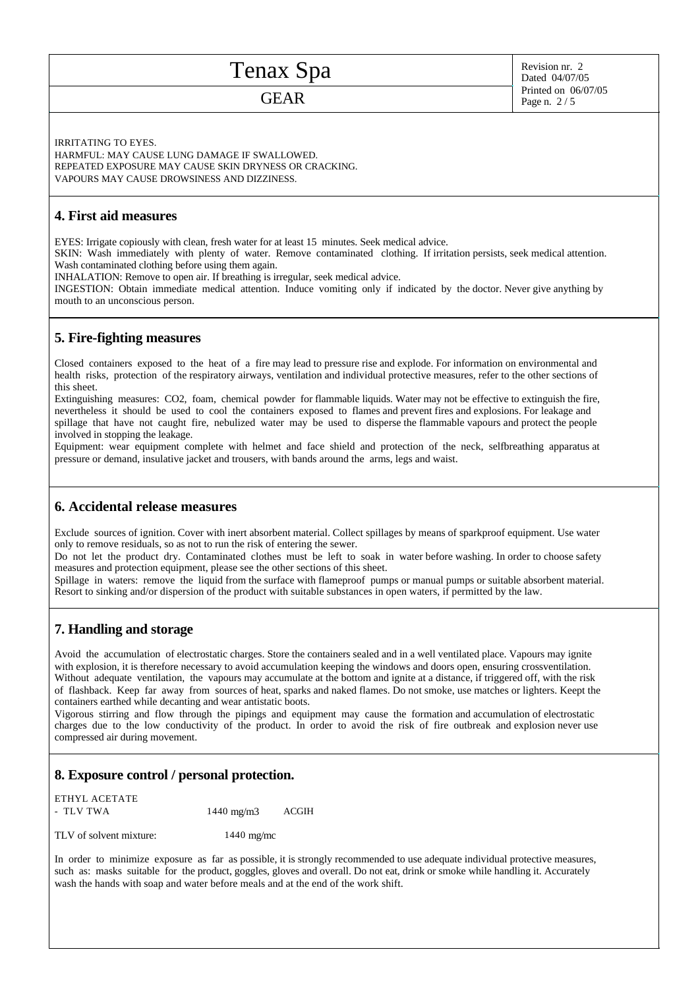# Tenax Spa

### GEAR

Revision nr. 2 Dated 04/07/05 Printed on 06/07/05 Page n. 2 / 5

IRRITATING TO EYES.

HARMFUL: MAY CAUSE LUNG DAMAGE IF SWALLOWED. REPEATED EXPOSURE MAY CAUSE SKIN DRYNESS OR CRACKING. VAPOURS MAY CAUSE DROWSINESS AND DIZZINESS.

#### **4. First aid measures**

EYES: Irrigate copiously with clean, fresh water for at least 15 minutes. Seek medical advice.

SKIN: Wash immediately with plenty of water. Remove contaminated clothing. If irritation persists, seek medical attention. Wash contaminated clothing before using them again.

INHALATION: Remove to open air. If breathing is irregular, seek medical advice.

INGESTION: Obtain immediate medical attention. Induce vomiting only if indicated by the doctor. Never give anything by mouth to an unconscious person.

### **5. Fire-fighting measures**

Closed containers exposed to the heat of a fire may lead to pressure rise and explode. For information on environmental and health risks, protection of the respiratory airways, ventilation and individual protective measures, refer to the other sections of this sheet.

Extinguishing measures: CO2, foam, chemical powder for flammable liquids. Water may not be effective to extinguish the fire, nevertheless it should be used to cool the containers exposed to flames and prevent fires and explosions. For leakage and spillage that have not caught fire, nebulized water may be used to disperse the flammable vapours and protect the people involved in stopping the leakage.

Equipment: wear equipment complete with helmet and face shield and protection of the neck, selfbreathing apparatus at pressure or demand, insulative jacket and trousers, with bands around the arms, legs and waist.

#### **6. Accidental release measures**

Exclude sources of ignition. Cover with inert absorbent material. Collect spillages by means of sparkproof equipment. Use water only to remove residuals, so as not to run the risk of entering the sewer.

Do not let the product dry. Contaminated clothes must be left to soak in water before washing. In order to choose safety measures and protection equipment, please see the other sections of this sheet.

Spillage in waters: remove the liquid from the surface with flameproof pumps or manual pumps or suitable absorbent material. Resort to sinking and/or dispersion of the product with suitable substances in open waters, if permitted by the law.

### **7. Handling and storage**

Avoid the accumulation of electrostatic charges. Store the containers sealed and in a well ventilated place. Vapours may ignite with explosion, it is therefore necessary to avoid accumulation keeping the windows and doors open, ensuring crossventilation. Without adequate ventilation, the vapours may accumulate at the bottom and ignite at a distance, if triggered off, with the risk of flashback. Keep far away from sources of heat, sparks and naked flames. Do not smoke, use matches or lighters. Keept the containers earthed while decanting and wear antistatic boots.

Vigorous stirring and flow through the pipings and equipment may cause the formation and accumulation of electrostatic charges due to the low conductivity of the product. In order to avoid the risk of fire outbreak and explosion never use compressed air during movement.

#### **8. Exposure control / personal protection.**

ETHYL ACETATE - TLV TWA 1440 mg/m3 ACGIH

TLV of solvent mixture: 1440 mg/mc

In order to minimize exposure as far as possible, it is strongly recommended to use adequate individual protective measures, such as: masks suitable for the product, goggles, gloves and overall. Do not eat, drink or smoke while handling it. Accurately wash the hands with soap and water before meals and at the end of the work shift.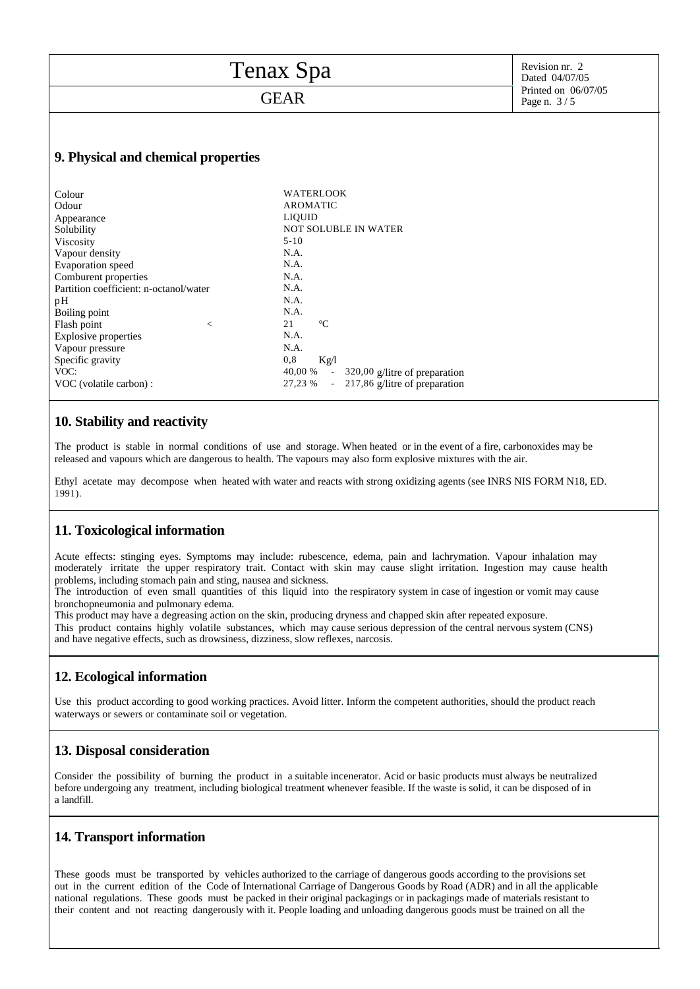| Tenax Spa                              | Revision nr. 2<br>Dated 04/07/05                                     |                                    |
|----------------------------------------|----------------------------------------------------------------------|------------------------------------|
| <b>GEAR</b>                            |                                                                      | Printed on 06/07/05<br>Page n. 3/5 |
|                                        |                                                                      |                                    |
| 9. Physical and chemical properties    |                                                                      |                                    |
| Colour                                 | <b>WATERLOOK</b>                                                     |                                    |
| Odour                                  | <b>AROMATIC</b>                                                      |                                    |
| Appearance                             | <b>LIQUID</b>                                                        |                                    |
| Solubility                             | <b>NOT SOLUBLE IN WATER</b>                                          |                                    |
| Viscosity                              | $5 - 10$                                                             |                                    |
| Vapour density                         | N.A.                                                                 |                                    |
| Evaporation speed                      | N.A.                                                                 |                                    |
| Comburent properties                   | N.A.                                                                 |                                    |
| Partition coefficient: n-octanol/water | N.A.                                                                 |                                    |
| pH                                     | N.A.                                                                 |                                    |
| Boiling point                          | N.A.                                                                 |                                    |
| Flash point<br>$\,<\,$                 | 21<br>$\rm ^{\circ}C$                                                |                                    |
| <b>Explosive properties</b>            | N.A.                                                                 |                                    |
| Vapour pressure                        | N.A.                                                                 |                                    |
| Specific gravity                       | 0,8<br>Kg/l                                                          |                                    |
| VOC:                                   | 40,00 %<br>320,00 g/litre of preparation<br>$\overline{\phantom{a}}$ |                                    |
| VOC (volatile carbon) :                | 27,23 %<br>- 217,86 g/litre of preparation                           |                                    |

- 217,86 g/litre of preparation

#### **10. Stability and reactivity**

The product is stable in normal conditions of use and storage. When heated or in the event of a fire, carbonoxides may be released and vapours which are dangerous to health. The vapours may also form explosive mixtures with the air.

Ethyl acetate may decompose when heated with water and reacts with strong oxidizing agents (see INRS NIS FORM N18, ED. 1991).

#### **11. Toxicological information**

Acute effects: stinging eyes. Symptoms may include: rubescence, edema, pain and lachrymation. Vapour inhalation may moderately irritate the upper respiratory trait. Contact with skin may cause slight irritation. Ingestion may cause health problems, including stomach pain and sting, nausea and sickness.

The introduction of even small quantities of this liquid into the respiratory system in case of ingestion or vomit may cause bronchopneumonia and pulmonary edema.

This product may have a degreasing action on the skin, producing dryness and chapped skin after repeated exposure. This product contains highly volatile substances, which may cause serious depression of the central nervous system (CNS) and have negative effects, such as drowsiness, dizziness, slow reflexes, narcosis.

#### **12. Ecological information**

Use this product according to good working practices. Avoid litter. Inform the competent authorities, should the product reach waterways or sewers or contaminate soil or vegetation.

#### **13. Disposal consideration**

Consider the possibility of burning the product in a suitable incenerator. Acid or basic products must always be neutralized before undergoing any treatment, including biological treatment whenever feasible. If the waste is solid, it can be disposed of in a landfill.

#### **14. Transport information**

These goods must be transported by vehicles authorized to the carriage of dangerous goods according to the provisions set out in the current edition of the Code of International Carriage of Dangerous Goods by Road (ADR) and in all the applicable national regulations. These goods must be packed in their original packagings or in packagings made of materials resistant to their content and not reacting dangerously with it. People loading and unloading dangerous goods must be trained on all the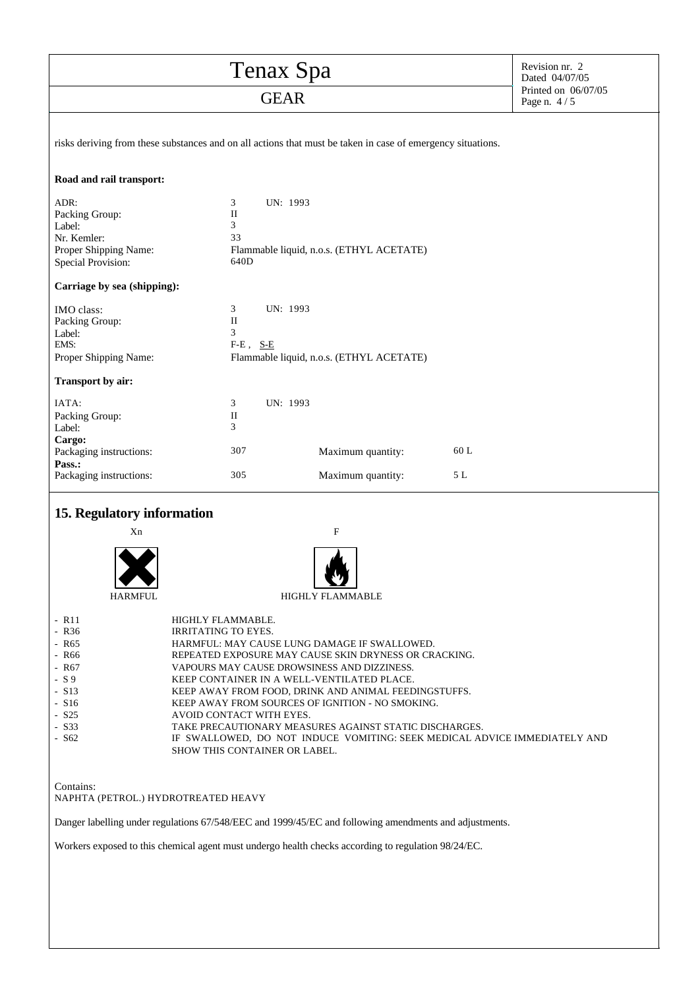| Tenax Spa                                                                                                                                                                                                                                                                                                                                                                                                                                                                                                                                                                                                                                                                                              |                                                     |                                          | Revision nr. 2<br>Dated 04/07/05   |  |  |  |
|--------------------------------------------------------------------------------------------------------------------------------------------------------------------------------------------------------------------------------------------------------------------------------------------------------------------------------------------------------------------------------------------------------------------------------------------------------------------------------------------------------------------------------------------------------------------------------------------------------------------------------------------------------------------------------------------------------|-----------------------------------------------------|------------------------------------------|------------------------------------|--|--|--|
| <b>GEAR</b>                                                                                                                                                                                                                                                                                                                                                                                                                                                                                                                                                                                                                                                                                            |                                                     |                                          | Printed on 06/07/05<br>Page n. 4/5 |  |  |  |
| risks deriving from these substances and on all actions that must be taken in case of emergency situations.                                                                                                                                                                                                                                                                                                                                                                                                                                                                                                                                                                                            |                                                     |                                          |                                    |  |  |  |
| Road and rail transport:                                                                                                                                                                                                                                                                                                                                                                                                                                                                                                                                                                                                                                                                               |                                                     |                                          |                                    |  |  |  |
| ADR:<br>Packing Group:<br>Label:<br>Nr. Kemler:<br>Proper Shipping Name:<br>Special Provision:                                                                                                                                                                                                                                                                                                                                                                                                                                                                                                                                                                                                         | UN: 1993<br>3<br>$\rm II$<br>3<br>33<br>640D        | Flammable liquid, n.o.s. (ETHYL ACETATE) |                                    |  |  |  |
| Carriage by sea (shipping):                                                                                                                                                                                                                                                                                                                                                                                                                                                                                                                                                                                                                                                                            |                                                     |                                          |                                    |  |  |  |
| IMO class:<br>Packing Group:<br>Label:<br>EMS:<br>Proper Shipping Name:                                                                                                                                                                                                                                                                                                                                                                                                                                                                                                                                                                                                                                | UN: 1993<br>3<br>$\mathbf{I}$<br>3<br>$F-E$ , $S-E$ | Flammable liquid, n.o.s. (ETHYL ACETATE) |                                    |  |  |  |
| Transport by air:<br>IATA:                                                                                                                                                                                                                                                                                                                                                                                                                                                                                                                                                                                                                                                                             |                                                     |                                          |                                    |  |  |  |
| Packing Group:<br>Label:<br>Cargo:                                                                                                                                                                                                                                                                                                                                                                                                                                                                                                                                                                                                                                                                     | 3<br>UN: 1993<br>$_{\rm II}$<br>3                   |                                          |                                    |  |  |  |
| Packaging instructions:<br>Pass.:                                                                                                                                                                                                                                                                                                                                                                                                                                                                                                                                                                                                                                                                      | 307                                                 | Maximum quantity:                        | 60 L                               |  |  |  |
| 305<br>$5 L$<br>Packaging instructions:<br>Maximum quantity:<br>15. Regulatory information<br>Xn<br>F                                                                                                                                                                                                                                                                                                                                                                                                                                                                                                                                                                                                  |                                                     |                                          |                                    |  |  |  |
| <b>HARMFUL</b>                                                                                                                                                                                                                                                                                                                                                                                                                                                                                                                                                                                                                                                                                         |                                                     | Y.<br><b>HIGHLY FLAMMABLE</b>            |                                    |  |  |  |
| $-$ R11<br>HIGHLY FLAMMABLE.<br>$-R36$<br>IRRITATING TO EYES.<br>- R65<br>HARMFUL: MAY CAUSE LUNG DAMAGE IF SWALLOWED.<br>- R66<br>REPEATED EXPOSURE MAY CAUSE SKIN DRYNESS OR CRACKING.<br>VAPOURS MAY CAUSE DROWSINESS AND DIZZINESS.<br>- R67<br>$-S9$<br>KEEP CONTAINER IN A WELL-VENTILATED PLACE.<br>$-$ S <sub>13</sub><br>KEEP AWAY FROM FOOD, DRINK AND ANIMAL FEEDINGSTUFFS.<br>$- S16$<br>KEEP AWAY FROM SOURCES OF IGNITION - NO SMOKING.<br>$-$ S <sub>25</sub><br>AVOID CONTACT WITH EYES.<br>$-$ S33<br>TAKE PRECAUTIONARY MEASURES AGAINST STATIC DISCHARGES.<br>$-$ S62<br>IF SWALLOWED, DO NOT INDUCE VOMITING: SEEK MEDICAL ADVICE IMMEDIATELY AND<br>SHOW THIS CONTAINER OR LABEL. |                                                     |                                          |                                    |  |  |  |
| Contains:<br>NAPHTA (PETROL.) HYDROTREATED HEAVY                                                                                                                                                                                                                                                                                                                                                                                                                                                                                                                                                                                                                                                       |                                                     |                                          |                                    |  |  |  |
| Danger labelling under regulations 67/548/EEC and 1999/45/EC and following amendments and adjustments.                                                                                                                                                                                                                                                                                                                                                                                                                                                                                                                                                                                                 |                                                     |                                          |                                    |  |  |  |
| Workers exposed to this chemical agent must undergo health checks according to regulation 98/24/EC.                                                                                                                                                                                                                                                                                                                                                                                                                                                                                                                                                                                                    |                                                     |                                          |                                    |  |  |  |
|                                                                                                                                                                                                                                                                                                                                                                                                                                                                                                                                                                                                                                                                                                        |                                                     |                                          |                                    |  |  |  |